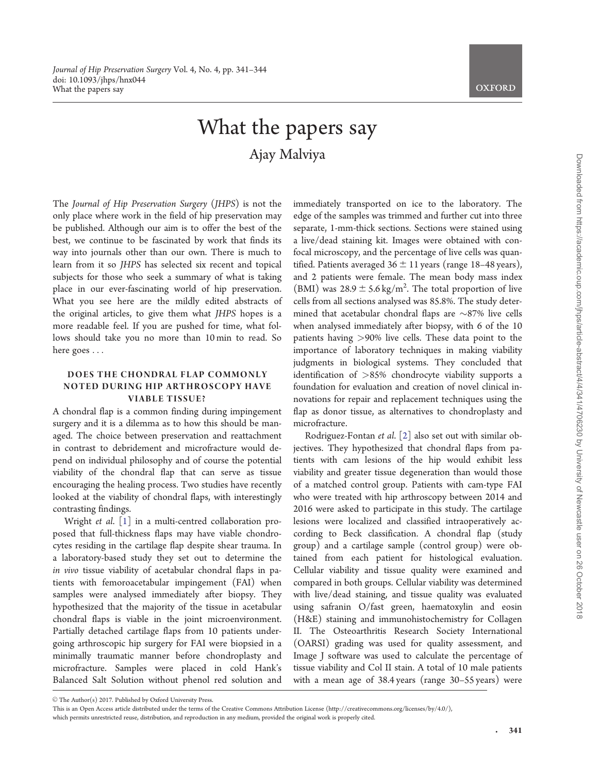# What the papers say Ajay Malviya

<span id="page-0-0"></span>The Journal of Hip Preservation Surgery (JHPS) is not the only place where work in the field of hip preservation may be published. Although our aim is to offer the best of the best, we continue to be fascinated by work that finds its way into journals other than our own. There is much to learn from it so JHPS has selected six recent and topical subjects for those who seek a summary of what is taking place in our ever-fascinating world of hip preservation. What you see here are the mildly edited abstracts of the original articles, to give them what JHPS hopes is a more readable feel. If you are pushed for time, what follows should take you no more than 10 min to read. So here goes ...

## DOES THE CHONDRAL FLAP COMMONLY NOTED DURING HIP ARTHROSCOPY HAVE VIABLE TISSUE?

A chondral flap is a common finding during impingement surgery and it is a dilemma as to how this should be managed. The choice between preservation and reattachment in contrast to debridement and microfracture would depend on individual philosophy and of course the potential viability of the chondral flap that can serve as tissue encouraging the healing process. Two studies have recently looked at the viability of chondral flaps, with interestingly contrasting findings.

Wright et al. [\[1](#page-3-0)] in a multi-centred collaboration proposed that full-thickness flaps may have viable chondrocytes residing in the cartilage flap despite shear trauma. In a laboratory-based study they set out to determine the in vivo tissue viability of acetabular chondral flaps in patients with femoroacetabular impingement (FAI) when samples were analysed immediately after biopsy. They hypothesized that the majority of the tissue in acetabular chondral flaps is viable in the joint microenvironment. Partially detached cartilage flaps from 10 patients undergoing arthroscopic hip surgery for FAI were biopsied in a minimally traumatic manner before chondroplasty and microfracture. Samples were placed in cold Hank's Balanced Salt Solution without phenol red solution and

immediately transported on ice to the laboratory. The edge of the samples was trimmed and further cut into three separate, 1-mm-thick sections. Sections were stained using a live/dead staining kit. Images were obtained with confocal microscopy, and the percentage of live cells was quantified. Patients averaged  $36 \pm 11$  years (range 18–48 years), and 2 patients were female. The mean body mass index (BMI) was  $28.9 \pm 5.6$  kg/m<sup>2</sup>. The total proportion of live cells from all sections analysed was 85.8%. The study determined that acetabular chondral flaps are  $\sim$ 87% live cells when analysed immediately after biopsy, with 6 of the 10 patients having >90% live cells. These data point to the importance of laboratory techniques in making viability judgments in biological systems. They concluded that identification of >85% chondrocyte viability supports a foundation for evaluation and creation of novel clinical innovations for repair and replacement techniques using the flap as donor tissue, as alternatives to chondroplasty and microfracture.

Rodriguez-Fontan et al. [[2\]](#page-3-0) also set out with similar objectives. They hypothesized that chondral flaps from patients with cam lesions of the hip would exhibit less viability and greater tissue degeneration than would those of a matched control group. Patients with cam-type FAI who were treated with hip arthroscopy between 2014 and 2016 were asked to participate in this study. The cartilage lesions were localized and classified intraoperatively according to Beck classification. A chondral flap (study group) and a cartilage sample (control group) were obtained from each patient for histological evaluation. Cellular viability and tissue quality were examined and compared in both groups. Cellular viability was determined with live/dead staining, and tissue quality was evaluated using safranin O/fast green, haematoxylin and eosin (H&E) staining and immunohistochemistry for Collagen II. The Osteoarthritis Research Society International (OARSI) grading was used for quality assessment, and Image J software was used to calculate the percentage of tissue viability and Col II stain. A total of 10 male patients with a mean age of 38.4 years (range 30–55 years) were

 $\odot$  The Author(s) 2017. Published by Oxford University Press.

This is an Open Access article distributed under the terms of the Creative Commons Attribution License (http://creativecommons.org/licenses/by/4.0/),

which permits unrestricted reuse, distribution, and reproduction in any medium, provided the original work is properly cited.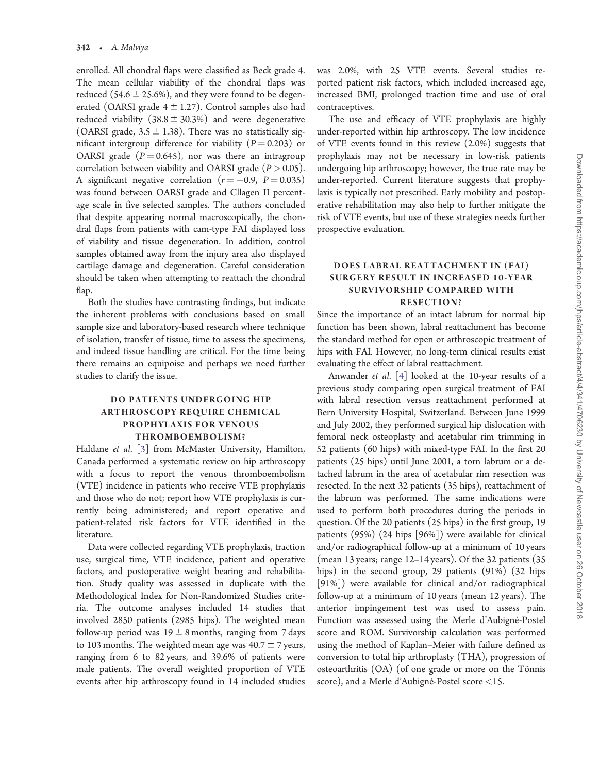<span id="page-1-0"></span>enrolled. All chondral flaps were classified as Beck grade 4. The mean cellular viability of the chondral flaps was reduced (54.6  $\pm$  25.6%), and they were found to be degenerated (OARSI grade  $4 \pm 1.27$ ). Control samples also had reduced viability  $(38.8 \pm 30.3\%)$  and were degenerative (OARSI grade,  $3.5 \pm 1.38$ ). There was no statistically significant intergroup difference for viability ( $P = 0.203$ ) or OARSI grade  $(P = 0.645)$ , nor was there an intragroup correlation between viability and OARSI grade ( $P > 0.05$ ). A significant negative correlation  $(r = -0.9, P = 0.035)$ was found between OARSI grade and Cllagen II percentage scale in five selected samples. The authors concluded that despite appearing normal macroscopically, the chondral flaps from patients with cam-type FAI displayed loss of viability and tissue degeneration. In addition, control samples obtained away from the injury area also displayed cartilage damage and degeneration. Careful consideration should be taken when attempting to reattach the chondral flap.

Both the studies have contrasting findings, but indicate the inherent problems with conclusions based on small sample size and laboratory-based research where technique of isolation, transfer of tissue, time to assess the specimens, and indeed tissue handling are critical. For the time being there remains an equipoise and perhaps we need further studies to clarify the issue.

# DO PATIENTS UNDERGOING HIP ARTHROSCOPY REQUIRE CHEMICAL PROPHYLAXIS FOR VENOUS THROMBOEMBOLISM?

Haldane et al. [[3\]](#page-3-0) from McMaster University, Hamilton, Canada performed a systematic review on hip arthroscopy with a focus to report the venous thromboembolism (VTE) incidence in patients who receive VTE prophylaxis and those who do not; report how VTE prophylaxis is currently being administered; and report operative and patient-related risk factors for VTE identified in the literature.

Data were collected regarding VTE prophylaxis, traction use, surgical time, VTE incidence, patient and operative factors, and postoperative weight bearing and rehabilitation. Study quality was assessed in duplicate with the Methodological Index for Non-Randomized Studies criteria. The outcome analyses included 14 studies that involved 2850 patients (2985 hips). The weighted mean follow-up period was  $19 \pm 8$  months, ranging from 7 days to 103 months. The weighted mean age was  $40.7 \pm 7$  years, ranging from 6 to 82 years, and 39.6% of patients were male patients. The overall weighted proportion of VTE events after hip arthroscopy found in 14 included studies was 2.0%, with 25 VTE events. Several studies reported patient risk factors, which included increased age, increased BMI, prolonged traction time and use of oral contraceptives.

The use and efficacy of VTE prophylaxis are highly under-reported within hip arthroscopy. The low incidence of VTE events found in this review (2.0%) suggests that prophylaxis may not be necessary in low-risk patients undergoing hip arthroscopy; however, the true rate may be under-reported. Current literature suggests that prophylaxis is typically not prescribed. Early mobility and postoperative rehabilitation may also help to further mitigate the risk of VTE events, but use of these strategies needs further prospective evaluation.

## DOES LABRAL REATTACHMENT IN (FAI) SURGERY RESULT IN INCREASED 10-YEAR SURVIVORSHIP COMPARED WITH RESECTION?

Since the importance of an intact labrum for normal hip function has been shown, labral reattachment has become the standard method for open or arthroscopic treatment of hips with FAI. However, no long-term clinical results exist evaluating the effect of labral reattachment.

Anwander et al. [[4\]](#page-3-0) looked at the 10-year results of a previous study comparing open surgical treatment of FAI with labral resection versus reattachment performed at Bern University Hospital, Switzerland. Between June 1999 and July 2002, they performed surgical hip dislocation with femoral neck osteoplasty and acetabular rim trimming in 52 patients (60 hips) with mixed-type FAI. In the first 20 patients (25 hips) until June 2001, a torn labrum or a detached labrum in the area of acetabular rim resection was resected. In the next 32 patients (35 hips), reattachment of the labrum was performed. The same indications were used to perform both procedures during the periods in question. Of the 20 patients (25 hips) in the first group, 19 patients (95%) (24 hips [96%]) were available for clinical and/or radiographical follow-up at a minimum of 10 years (mean 13 years; range 12–14 years). Of the 32 patients (35 hips) in the second group, 29 patients (91%) (32 hips [91%]) were available for clinical and/or radiographical follow-up at a minimum of 10 years (mean 12 years). The anterior impingement test was used to assess pain. Function was assessed using the Merle d'Aubigné-Postel score and ROM. Survivorship calculation was performed using the method of Kaplan–Meier with failure defined as conversion to total hip arthroplasty (THA), progression of osteoarthritis  $(OA)$  (of one grade or more on the Tönnis score), and a Merle d'Aubigné-Postel score  $<$ 15.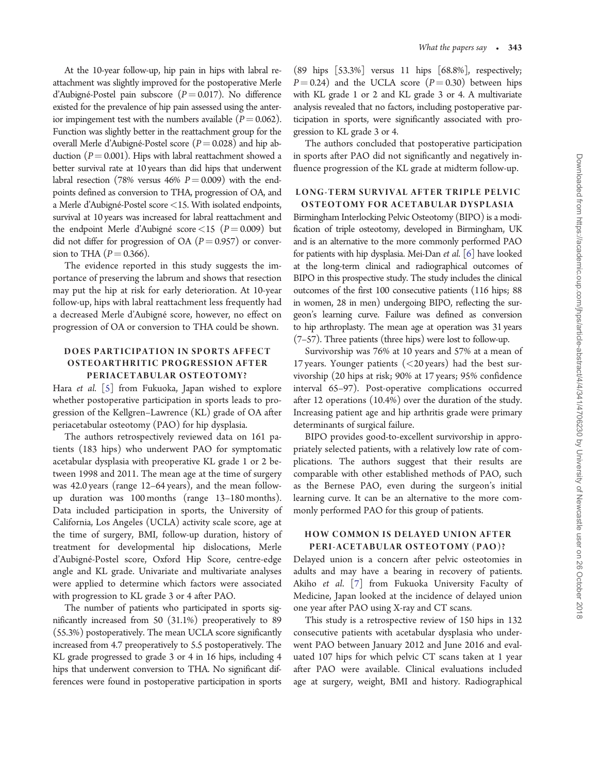<span id="page-2-0"></span>At the 10-year follow-up, hip pain in hips with labral reattachment was slightly improved for the postoperative Merle d'Aubigné-Postel pain subscore ( $P = 0.017$ ). No difference existed for the prevalence of hip pain assessed using the anterior impingement test with the numbers available ( $P = 0.062$ ). Function was slightly better in the reattachment group for the overall Merle d'Aubigné-Postel score ( $P = 0.028$ ) and hip abduction ( $P = 0.001$ ). Hips with labral reattachment showed a better survival rate at 10 years than did hips that underwent labral resection (78% versus 46%  $P = 0.009$ ) with the endpoints defined as conversion to THA, progression of OA, and a Merle d'Aubigné-Postel score <15. With isolated endpoints, survival at 10 years was increased for labral reattachment and the endpoint Merle d'Aubigné score <15 ( $P = 0.009$ ) but did not differ for progression of OA ( $P = 0.957$ ) or conversion to THA  $(P = 0.366)$ .

The evidence reported in this study suggests the importance of preserving the labrum and shows that resection may put the hip at risk for early deterioration. At 10-year follow-up, hips with labral reattachment less frequently had a decreased Merle d'Aubigné score, however, no effect on progression of OA or conversion to THA could be shown.

# DOES PARTICIPATION IN SPORTS AFFECT OSTEOARTHRITIC PROGRESSION AFTER PERIACETABULAR OSTEOTOMY?

Hara et al. [[5](#page-3-0)] from Fukuoka, Japan wished to explore whether postoperative participation in sports leads to progression of the Kellgren–Lawrence (KL) grade of OA after periacetabular osteotomy (PAO) for hip dysplasia.

The authors retrospectively reviewed data on 161 patients (183 hips) who underwent PAO for symptomatic acetabular dysplasia with preoperative KL grade 1 or 2 between 1998 and 2011. The mean age at the time of surgery was 42.0 years (range 12–64 years), and the mean followup duration was 100 months (range 13–180 months). Data included participation in sports, the University of California, Los Angeles (UCLA) activity scale score, age at the time of surgery, BMI, follow-up duration, history of treatment for developmental hip dislocations, Merle d'Aubigné-Postel score, Oxford Hip Score, centre-edge angle and KL grade. Univariate and multivariate analyses were applied to determine which factors were associated with progression to KL grade 3 or 4 after PAO.

The number of patients who participated in sports significantly increased from 50 (31.1%) preoperatively to 89 (55.3%) postoperatively. The mean UCLA score significantly increased from 4.7 preoperatively to 5.5 postoperatively. The KL grade progressed to grade 3 or 4 in 16 hips, including 4 hips that underwent conversion to THA. No significant differences were found in postoperative participation in sports (89 hips [53.3%] versus 11 hips [68.8%], respectively;  $P = 0.24$ ) and the UCLA score ( $P = 0.30$ ) between hips with KL grade 1 or 2 and KL grade 3 or 4. A multivariate analysis revealed that no factors, including postoperative participation in sports, were significantly associated with progression to KL grade 3 or 4.

The authors concluded that postoperative participation in sports after PAO did not significantly and negatively influence progression of the KL grade at midterm follow-up.

#### LONG-TERM SURVIVAL AFTER TRIPLE PELVIC OSTEOTOMY FOR ACETABULAR DYSPLASIA

Birmingham Interlocking Pelvic Osteotomy (BIPO) is a modification of triple osteotomy, developed in Birmingham, UK and is an alternative to the more commonly performed PAO for patients with hip dysplasia. Mei-Dan et al. [\[6\]](#page-3-0) have looked at the long-term clinical and radiographical outcomes of BIPO in this prospective study. The study includes the clinical outcomes of the first 100 consecutive patients (116 hips; 88 in women, 28 in men) undergoing BIPO, reflecting the surgeon's learning curve. Failure was defined as conversion to hip arthroplasty. The mean age at operation was 31 years (7–57). Three patients (three hips) were lost to follow-up.

Survivorship was 76% at 10 years and 57% at a mean of 17 years. Younger patients  $(<$  20 years) had the best survivorship (20 hips at risk; 90% at 17 years; 95% confidence interval 65–97). Post-operative complications occurred after 12 operations (10.4%) over the duration of the study. Increasing patient age and hip arthritis grade were primary determinants of surgical failure.

BIPO provides good-to-excellent survivorship in appropriately selected patients, with a relatively low rate of complications. The authors suggest that their results are comparable with other established methods of PAO, such as the Bernese PAO, even during the surgeon's initial learning curve. It can be an alternative to the more commonly performed PAO for this group of patients.

## HOW COMMON IS DELAYED UNION AFTER PERI-ACETABULAR OSTEOTOMY (PAO)?

Delayed union is a concern after pelvic osteotomies in adults and may have a bearing in recovery of patients. Akiho et al. [\[7](#page-3-0)] from Fukuoka University Faculty of Medicine, Japan looked at the incidence of delayed union one year after PAO using X-ray and CT scans.

This study is a retrospective review of 150 hips in 132 consecutive patients with acetabular dysplasia who underwent PAO between January 2012 and June 2016 and evaluated 107 hips for which pelvic CT scans taken at 1 year after PAO were available. Clinical evaluations included age at surgery, weight, BMI and history. Radiographical